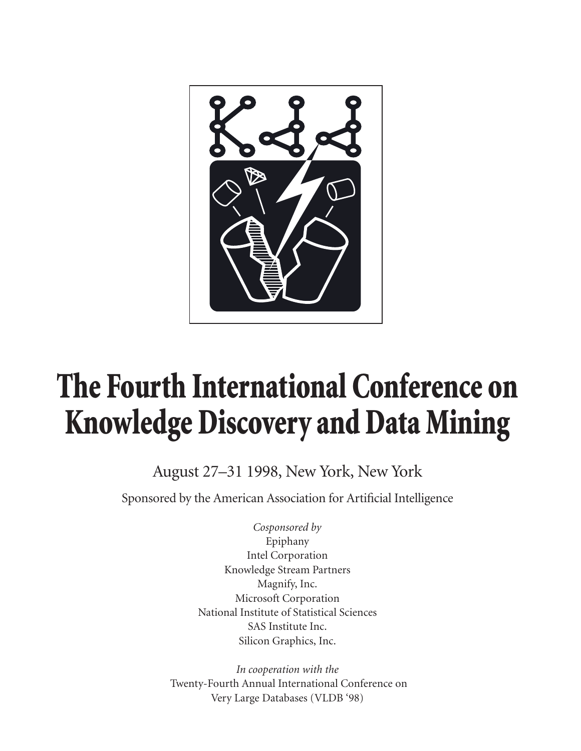

## **The Fourth International Conference on Knowledge Discovery and Data Mining**

August 27–31 1998, New York, New York

Sponsored by the American Association for Artificial Intelligence

*Cosponsored by* Epiphany Intel Corporation Knowledge Stream Partners Magnify, Inc. Microsoft Corporation National Institute of Statistical Sciences SAS Institute Inc. Silicon Graphics, Inc.

*In cooperation with the* Twenty-Fourth Annual International Conference on Very Large Databases (VLDB '98)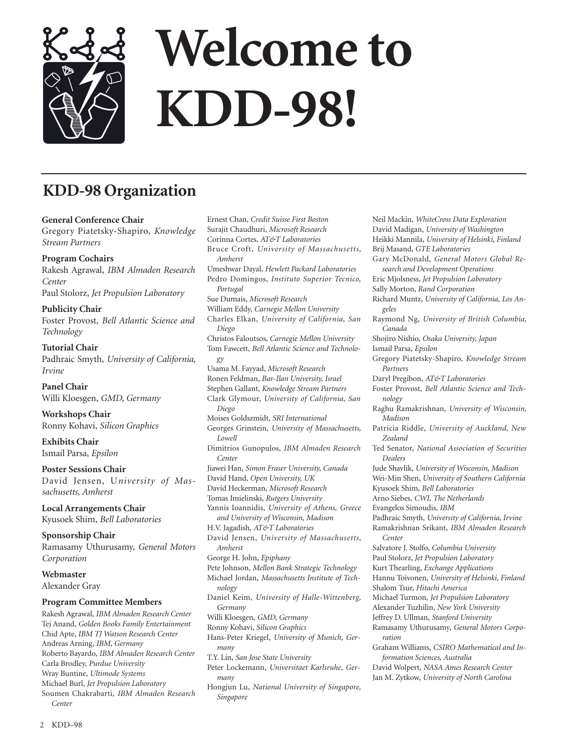

## **KDD-98 Organization**

**General Conference Chair** Gregory Piatetsky-Shapiro, *Knowledge Stream Partners*

**Program Cochairs** Rakesh Agrawal, *IBM Almaden Research Center* Paul Stolorz, *Jet Propulsion Laboratory*

**Publicity Chair** Foster Provost, *Bell Atlantic Science and Technology*

**Tutorial Chair** Padhraic Smyth, *University of California, Irvine*

**Panel Chair** Willi Kloesgen, *GMD, Germany*

**Workshops Chair** Ronny Kohavi, *Silicon Graphics*

**Exhibits Chair** Ismail Parsa, *Epsilon*

**Poster Sessions Chair** David Jensen, U*niversity of Massachusetts, Amherst*

**Local Arrangements Chair** Kyusoek Shim, *Bell Laboratories*

**Sponsorship Chair** Ramasamy Uthurusamy, *General Motors Corporation*

**Webmaster** Alexander Gray

#### **Program Committee Members**

Rakesh Agrawal, *IBM Almaden Research Center* Tej Anand, *Golden Books Family Entertainment* Chid Apte, *IBM TJ Watson Research Center* Andreas Arning, *IBM, Germany* Roberto Bayardo, *IBM Almaden Research Center* Carla Brodley, *Purdue University* Wray Buntine, *Ultimode Systems* Michael Burl, *Jet Propulsion Laboratory* Soumen Chakrabarti, *IBM Almaden Research Center*

Ernest Chan, *Credit Suisse First Boston* Surajit Chaudhuri, *Microsoft Research* Corinna Cortes, *AT&T Laboratories* Bruce Croft, *University of Massachusetts, Amherst* Umeshwar Dayal, *Hewlett Packard Laboratories* Pedro Domingos, *Instituto Superior Tecnico, Portugal* Sue Dumais, *Microsoft Research* William Eddy, *Carnegie Mellon University* Charles Elkan, *University of California, San Diego* Christos Faloutsos, *Carnegie Mellon University* Tom Fawcett, *Bell Atlantic Science and Technology* Usama M. Fayyad, *Microsoft Research* Ronen Feldman, *Bar-Ilan University, Israel* Stephen Gallant, *Knowledge Stream Partners* Clark Glymour, *University of California, San Diego* Moises Goldszmidt, *SRI International* Georges Grinstein, *University of Massachusetts, Lowell* Dimitrios Gunopulos, *IBM Almaden Research Center* Jiawei Han, *Simon Fraser University, Canada* David Hand, *Open University, UK* David Heckerman, *Microsoft Research* Tomas Imielinski, *Rutgers University* Yannis Ioannidis, *University of Athens, Greece and University of Wisconsin, Madison* H.V. Jagadish, *AT&T Laboratories* David Jensen, *University of Massachusetts, Amherst* George H. John, *Epiphany* Pete Johnson, *Mellon Bank Strategic Technology* Michael Jordan, *Massachusetts Institute of Technology* Daniel Keim, *University of Halle-Wittenberg, Germany* Willi Kloesgen, *GMD, Germany* Ronny Kohavi, *Silicon Graphics* Hans-Peter Kriegel, *University of Munich, Germany* T.Y. Lin, *San Jose State University* Peter Lockemann, *Universitaet Karlsruhe, Germany* Hongjun Lu, *National University of Singapore, Singapore*

David Madigan, *University of Washington* Heikki Mannila, *University of Helsinki, Finland* Brij Masand, *GTE Laboratories* Gary McDonald, *General Motors Global Research and Development Operations* Eric Mjolsness, *Jet Propulsion Laboratory* Sally Morton, *Rand Corporation* Richard Muntz, *University of California, Los Angeles* Raymond Ng, *University of British Columbia, Canada* Shojiro Nishio, *Osaka University, Japan* Ismail Parsa, *Epsilon* Gregory Piatetsky-Shapiro, *Knowledge Stream Partners* Daryl Pregibon, *AT&T Laboratories* Foster Provost, *Bell Atlantic Science and Technology* Raghu Ramakrishnan, *University of Wisconsin, Madison* Patricia Riddle, *University of Auckland, New Zealand* Ted Senator, *National Association of Securities Dealers* Jude Shavlik, *University of Wisconsin, Madison* Wei-Min Shen, *University of Southern California* Kyusoek Shim, *Bell Laboratories* Arno Siebes, *CWI, The Netherlands* Evangelos Simoudis, *IBM* Padhraic Smyth, *University of California, Irvine* Ramakrishnan Srikant, *IBM Almaden Research Center* Salvatore J. Stolfo, *Columbia University* Paul Stolorz, *Jet Propulsion Laboratory* Kurt Thearling, *Exchange Applications* Hannu Toivonen, *University of Helsinki, Finland* Shalom Tsur, *Hitachi America* Michael Turmon, *Jet Propulsion Laboratory* Alexander Tuzhilin, *New York University* Jeffrey D. Ullman, *Stanford University* Ramasamy Uthurusamy, *General Motors Corporation* Graham Williams, *CSIRO Mathematical and Information Sciences, Australia* David Wolpert, *NASA Ames Research Center* Jan M. Zytkow, *University of North Carolina*

Neil Mackin, *WhiteCross Data Exploration*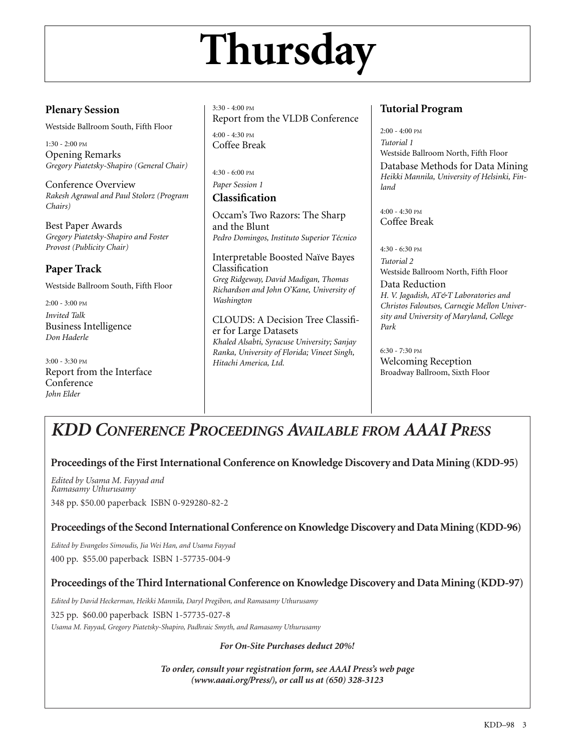# **Thursday**

### **Plenary Session**

Westside Ballroom South, Fifth Floor

1:30 - 2:00 PM Opening Remarks *Gregory Piatetsky-Shapiro (General Chair)*

Conference Overview *Rakesh Agrawal and Paul Stolorz (Program Chairs)*

Best Paper Awards *Gregory Piatetsky-Shapiro and Foster Provost (Publicity Chair)*

## **Paper Track**

Westside Ballroom South, Fifth Floor

2:00 - 3:00 PM *Invited Talk* Business Intelligence *Don Haderle*

3:00 - 3:30 PM Report from the Interface Conference *John Elder*

3:30 - 4:00 PM Report from the VLDB Conference 4:00 - 4:30 PM Coffee Break

4:30 - 6:00 PM *Paper Session 1*

## **Classification**

Occam's Two Razors: The Sharp and the Blunt *Pedro Domingos, Instituto Superior Técnico*

Interpretable Boosted Naïve Bayes Classification *Greg Ridgeway, David Madigan, Thomas Richardson and John O'Kane, University of Washington*

CLOUDS: A Decision Tree Classifier for Large Datasets *Khaled Alsabti, Syracuse University; Sanjay Ranka, University of Florida; Vineet Singh, Hitachi America, Ltd.*

### **Tutorial Program**

2:00 - 4:00 PM *Tutorial 1* Westside Ballroom North, Fifth Floor Database Methods for Data Mining *Heikki Mannila, University of Helsinki, Finland* 

4:00 - 4:30 PM Coffee Break

 $4:30 - 6:30$  PM *Tutorial 2* Westside Ballroom North, Fifth Floor

Data Reduction *H. V. Jagadish, AT&T Laboratories and Christos Faloutsos, Carnegie Mellon University and University of Maryland, College Park* 

6:30 - 7:30 PM Welcoming Reception Broadway Ballroom, Sixth Floor

## *KDD CONFERENCE PROCEEDINGS AVAILABLE FROM AAAI PRESS*

### **Proceedings of the First International Conference on Knowledge Discovery and Data Mining (KDD-95)**

*Edited by Usama M. Fayyad and Ramasamy Uthurusamy*  348 pp. \$50.00 paperback ISBN 0-929280-82-2

#### **Proceedings of the Second International Conference on Knowledge Discovery and Data Mining (KDD-96)**

*Edited by Evangelos Simoudis, Jia Wei Han, and Usama Fayyad*  400 pp. \$55.00 paperback ISBN 1-57735-004-9

**Proceedings of the Third International Conference on Knowledge Discovery and Data Mining (KDD-97)**

*Edited by David Heckerman, Heikki Mannila, Daryl Pregibon, and Ramasamy Uthurusamy* 

325 pp. \$60.00 paperback ISBN 1-57735-027-8

*Usama M. Fayyad, Gregory Piatetsky-Shapiro, Padhraic Smyth, and Ramasamy Uthurusamy* 

*For On-Site Purchases deduct 20%!*

*To order, consult your registration form, see AAAI Press's web page (www.aaai.org/Press/), or call us at (650) 328-3123*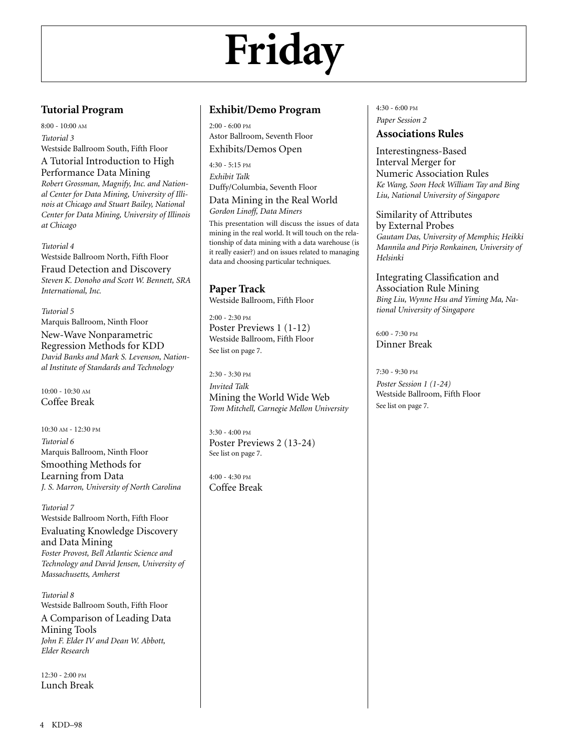# **Friday**

### **Tutorial Program**

8:00 - 10:00 AM *Tutorial 3* Westside Ballroom South, Fifth Floor A Tutorial Introduction to High

## Performance Data Mining

*Robert Grossman, Magnify, Inc. and National Center for Data Mining, University of Illinois at Chicago and Stuart Bailey, National Center for Data Mining, University of Illinois at Chicago* 

*Tutorial 4*

Westside Ballroom North, Fifth Floor Fraud Detection and Discovery *Steven K. Donoho and Scott W. Bennett, SRA International, Inc.* 

*Tutorial 5* Marquis Ballroom, Ninth Floor New-Wave Nonparametric Regression Methods for KDD *David Banks and Mark S. Levenson, National Institute of Standards and Technology* 

10:00 - 10:30 AM Coffee Break

10:30 AM - 12:30 PM *Tutorial 6* Marquis Ballroom, Ninth Floor Smoothing Methods for Learning from Data *J. S. Marron, University of North Carolina* 

*Tutorial 7* Westside Ballroom North, Fifth Floor Evaluating Knowledge Discovery and Data Mining *Foster Provost, Bell Atlantic Science and Technology and David Jensen, University of Massachusetts, Amherst* 

*Tutorial 8* Westside Ballroom South, Fifth Floor A Comparison of Leading Data Mining Tools *John F. Elder IV and Dean W. Abbott, Elder Research*

 $12.30 - 2.00$  PM Lunch Break

#### **Exhibit/Demo Program**

2:00 - 6:00 PM Astor Ballroom, Seventh Floor Exhibits/Demos Open

4:30 - 5:15 PM *Exhibit Talk* Duffy/Columbia, Seventh Floor

Data Mining in the Real World *Gordon Linoff, Data Miners*

This presentation will discuss the issues of data mining in the real world. It will touch on the relationship of data mining with a data warehouse (is it really easier?) and on issues related to managing data and choosing particular techniques.

**Paper Track** Westside Ballroom, Fifth Floor

 $2:00 - 2:30$  PM Poster Previews 1 (1-12) Westside Ballroom, Fifth Floor See list on page 7.

2:30 - 3:30 PM *Invited Talk* Mining the World Wide Web *Tom Mitchell, Carnegie Mellon University*

3:30 - 4:00 PM Poster Previews 2 (13-24) See list on page 7.

4:00 - 4:30 PM Coffee Break 4:30 - 6:00 PM *Paper Session 2*

### **Associations Rules**

Interestingness-Based Interval Merger for Numeric Association Rules *Ke Wang, Soon Hock William Tay and Bing Liu, National University of Singapore*

Similarity of Attributes by External Probes *Gautam Das, University of Memphis; Heikki Mannila and Pirjo Ronkainen, University of Helsinki*

Integrating Classification and Association Rule Mining *Bing Liu, Wynne Hsu and Yiming Ma, National University of Singapore*

6:00 - 7:30 PM Dinner Break

7:30 - 9:30 PM

*Poster Session 1 (1-24)* Westside Ballroom, Fifth Floor See list on page 7.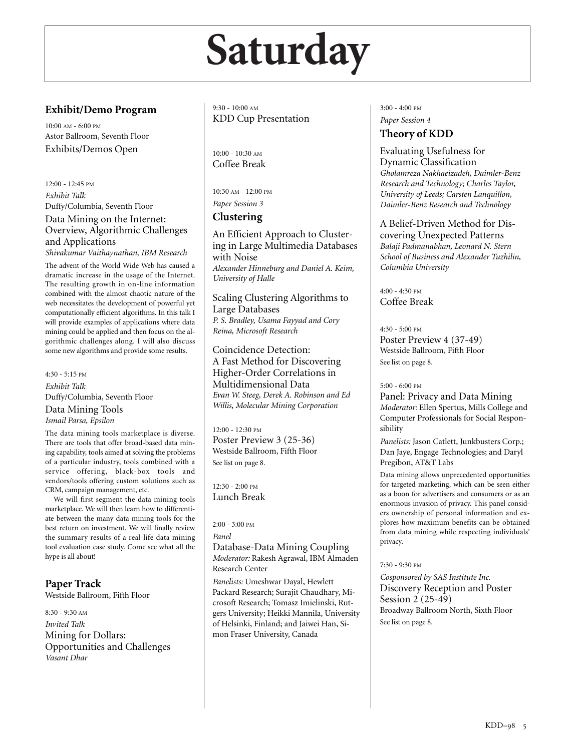## **Saturday**

### **Exhibit/Demo Program**

10:00 AM - 6:00 PM Astor Ballroom, Seventh Floor Exhibits/Demos Open

12:00 - 12:45 PM *Exhibit Talk* Duffy/Columbia, Seventh Floor Data Mining on the Internet: Overview, Algorithmic Challenges and Applications *Shivakumar Vaithaynathan, IBM Research*

The advent of the World Wide Web has caused a dramatic increase in the usage of the Internet. The resulting growth in on-line information combined with the almost chaotic nature of the web necessitates the development of powerful yet computationally efficient algorithms. In this talk I will provide examples of applications where data mining could be applied and then focus on the algorithmic challenges along. I will also discuss some new algorithms and provide some results.

4:30 - 5:15 PM *Exhibit Talk* Duffy/Columbia, Seventh Floor Data Mining Tools

*Ismail Parsa, Epsilon*

The data mining tools marketplace is diverse. There are tools that offer broad-based data mining capability, tools aimed at solving the problems of a particular industry, tools combined with a service offering, black-box tools and vendors/tools offering custom solutions such as CRM, campaign management, etc.

We will first segment the data mining tools marketplace. We will then learn how to differentiate between the many data mining tools for the best return on investment. We will finally review the summary results of a real-life data mining tool evaluation case study. Come see what all the hype is all about!

**Paper Track**

Westside Ballroom, Fifth Floor

8:30 - 9:30 AM *Invited Talk* Mining for Dollars: Opportunities and Challenges *Vasant Dhar*

9:30 - 10:00 AM KDD Cup Presentation

10:00 - 10:30 AM Coffee Break

10:30 AM - 12:00 PM *Paper Session 3*

#### **Clustering**

An Efficient Approach to Clustering in Large Multimedia Databases with Noise *Alexander Hinneburg and Daniel A. Keim, University of Halle*

Scaling Clustering Algorithms to Large Databases *P. S. Bradley, Usama Fayyad and Cory Reina, Microsoft Research*

Coincidence Detection: A Fast Method for Discovering Higher-Order Correlations in Multidimensional Data *Evan W. Steeg, Derek A. Robinson and Ed Willis, Molecular Mining Corporation*

12:00 - 12:30 PM Poster Preview 3 (25-36) Westside Ballroom, Fifth Floor See list on page 8.

12:30 - 2:00 PM Lunch Break

 $2:00 - 3:00 \text{ PM}$ 

*Panel*

Database-Data Mining Coupling *Moderator:* Rakesh Agrawal, IBM Almaden Research Center

*Panelists:* Umeshwar Dayal, Hewlett Packard Research; Surajit Chaudhary, Microsoft Research; Tomasz Imielinski, Rutgers University; Heikki Mannila, University of Helsinki, Finland; and Jaiwei Han, Simon Fraser University, Canada

3:00 - 4:00 PM *Paper Session 4*

## **Theory of KDD**

Evaluating Usefulness for Dynamic Classification *Gholamreza Nakhaeizadeh, Daimler-Benz Research and Technology; Charles Taylor, University of Leeds; Carsten Lanquillon, Daimler-Benz Research and Technology*

A Belief-Driven Method for Discovering Unexpected Patterns *Balaji Padmanabhan, Leonard N. Stern School of Business and Alexander Tuzhilin, Columbia University*

4:00 - 4:30 PM Coffee Break

4:30 - 5:00 PM Poster Preview 4 (37-49) Westside Ballroom, Fifth Floor See list on page 8.

5:00 - 6:00 PM

Panel: Privacy and Data Mining *Moderator:* Ellen Spertus, Mills College and Computer Professionals for Social Responsibility

*Panelists:* Jason Catlett, Junkbusters Corp.; Dan Jaye, Engage Technologies; and Daryl Pregibon, AT&T Labs

Data mining allows unprecedented opportunities for targeted marketing, which can be seen either as a boon for advertisers and consumers or as an enormous invasion of privacy. This panel considers ownership of personal information and explores how maximum benefits can be obtained from data mining while respecting individuals' privacy.

#### 7:30 - 9:30 PM

*Cosponsored by SAS Institute Inc.* Discovery Reception and Poster Session 2 (25-49) Broadway Ballroom North, Sixth Floor See list on page 8.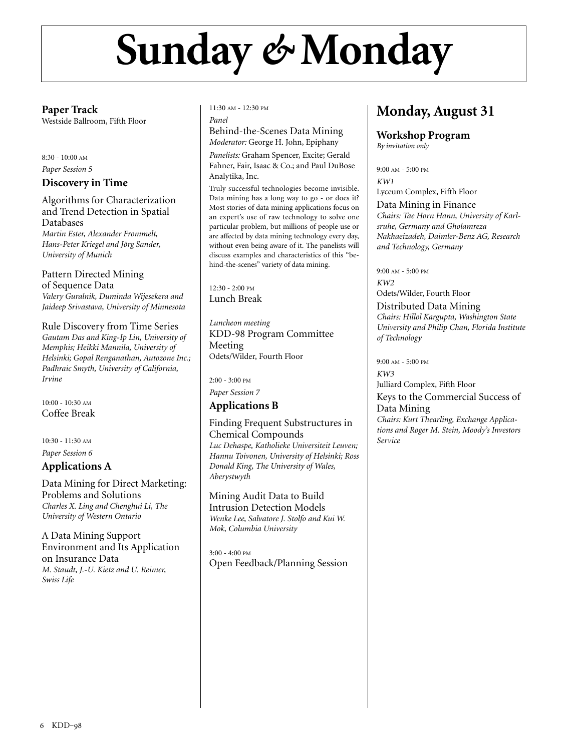## **Sunday** *&* **Monday**

**Paper Track**

Westside Ballroom, Fifth Floor

#### 8:30 - 10:00 AM *Paper Session 5*

### **Discovery in Time**

Algorithms for Characterization and Trend Detection in Spatial Databases *Martin Ester, Alexander Frommelt, Hans-Peter Kriegel and Jörg Sander, University of Munich*

Pattern Directed Mining of Sequence Data *Valery Guralnik, Duminda Wijesekera and Jaideep Srivastava, University of Minnesota*

Rule Discovery from Time Series *Gautam Das and King-Ip Lin, University of Memphis; Heikki Mannila, University of Helsinki; Gopal Renganathan, Autozone Inc.; Padhraic Smyth, University of California, Irvine*

10:00 - 10:30 AM Coffee Break

10:30 - 11:30 AM

*Paper Session 6*

### **Applications A**

Data Mining for Direct Marketing: Problems and Solutions *Charles X. Ling and Chenghui Li, The University of Western Ontario*

A Data Mining Support Environment and Its Application on Insurance Data *M. Staudt, J.-U. Kietz and U. Reimer, Swiss Life*

11:30 AM - 12:30 PM *Panel*

Behind-the-Scenes Data Mining

*Moderator:* George H. John, Epiphany *Panelists:* Graham Spencer, Excite; Gerald Fahner, Fair, Isaac & Co.; and Paul DuBose Analytika, Inc.

Truly successful technologies become invisible. Data mining has a long way to go - or does it? Most stories of data mining applications focus on an expert's use of raw technology to solve one particular problem, but millions of people use or are affected by data mining technology every day, without even being aware of it. The panelists will discuss examples and characteristics of this "behind-the-scenes" variety of data mining.

12:30 - 2:00 PM Lunch Break

*Luncheon meeting* KDD-98 Program Committee Meeting Odets/Wilder, Fourth Floor

2:00 - 3:00 PM

*Paper Session 7*

### **Applications B**

Finding Frequent Substructures in Chemical Compounds *Luc Dehaspe, Katholieke Universiteit Leuven; Hannu Toivonen, University of Helsinki; Ross Donald King, The University of Wales, Aberystwyth*

Mining Audit Data to Build Intrusion Detection Models *Wenke Lee, Salvatore J. Stolfo and Kui W. Mok, Columbia University*

3:00 - 4:00 PM Open Feedback/Planning Session

## **Monday, August 31**

**Workshop Program** *By invitation only*

9:00 AM - 5:00 PM *KW1* Lyceum Complex, Fifth Floor Data Mining in Finance *Chairs: Tae Horn Hann, University of Karlsruhe, Germany and Gholamreza Nakhaeizadeh, Daimler-Benz AG, Research and Technology, Germany*

9:00 AM - 5:00 PM

*KW2* Odets/Wilder, Fourth Floor

Distributed Data Mining *Chairs: Hillol Kargupta, Washington State University and Philip Chan, Florida Institute of Technology*

9:00 AM - 5:00 PM

*KW3*

Julliard Complex, Fifth Floor Keys to the Commercial Success of Data Mining *Chairs: Kurt Thearling, Exchange Applica-*

*tions and Roger M. Stein, Moody's Investors Service*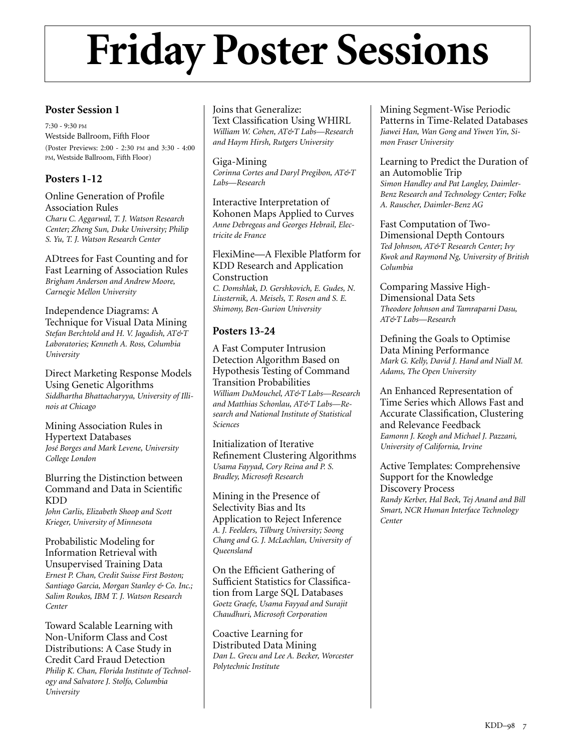## **Friday Poster Sessions**

### **Poster Session 1**

7:30 - 9:30 PM Westside Ballroom, Fifth Floor (Poster Previews: 2:00 - 2:30 PM and 3:30 - 4:00 PM, Westside Ballroom, Fifth Floor)

### **Posters 1-12**

Online Generation of Profile Association Rules *Charu C. Aggarwal, T. J. Watson Research Center; Zheng Sun, Duke University; Philip S. Yu, T. J. Watson Research Center*

ADtrees for Fast Counting and for Fast Learning of Association Rules *Brigham Anderson and Andrew Moore, Carnegie Mellon University*

Independence Diagrams: A Technique for Visual Data Mining *Stefan Berchtold and H. V. Jagadish, AT&T Laboratories; Kenneth A. Ross, Columbia University*

Direct Marketing Response Models Using Genetic Algorithms *Siddhartha Bhattacharyya, University of Illinois at Chicago*

Mining Association Rules in Hypertext Databases *José Borges and Mark Levene, University College London*

Blurring the Distinction between Command and Data in Scientific KDD *John Carlis, Elizabeth Shoop and Scott*

*Krieger, University of Minnesota*

Probabilistic Modeling for Information Retrieval with Unsupervised Training Data *Ernest P. Chan, Credit Suisse First Boston; Santiago Garcia, Morgan Stanley & Co. Inc.; Salim Roukos, IBM T. J. Watson Research Center*

Toward Scalable Learning with Non-Uniform Class and Cost Distributions: A Case Study in Credit Card Fraud Detection *Philip K. Chan, Florida Institute of Technology and Salvatore J. Stolfo, Columbia University*

Joins that Generalize: Text Classification Using WHIRL *William W. Cohen, AT&T Labs—Research and Haym Hirsh, Rutgers University*

Giga-Mining *Corinna Cortes and Daryl Pregibon, AT&T Labs—Research*

Interactive Interpretation of Kohonen Maps Applied to Curves *Anne Debregeas and Georges Hebrail, Electricite de France*

FlexiMine—A Flexible Platform for KDD Research and Application Construction *C. Domshlak, D. Gershkovich, E. Gudes, N. Liusternik, A. Meisels, T. Rosen and S. E. Shimony, Ben-Gurion University*

#### **Posters 13-24**

A Fast Computer Intrusion Detection Algorithm Based on Hypothesis Testing of Command Transition Probabilities *William DuMouchel, AT&T Labs—Research and Matthias Schonlau, AT&T Labs—Research and National Institute of Statistical Sciences*

Initialization of Iterative Refinement Clustering Algorithms *Usama Fayyad, Cory Reina and P. S. Bradley, Microsoft Research*

Mining in the Presence of Selectivity Bias and Its Application to Reject Inference *A. J. Feelders, Tilburg University; Soong Chang and G. J. McLachlan, University of Queensland*

On the Efficient Gathering of Sufficient Statistics for Classification from Large SQL Databases *Goetz Graefe, Usama Fayyad and Surajit Chaudhuri, Microsoft Corporation*

Coactive Learning for Distributed Data Mining *Dan L. Grecu and Lee A. Becker, Worcester Polytechnic Institute*

Mining Segment-Wise Periodic Patterns in Time-Related Databases *Jiawei Han, Wan Gong and Yiwen Yin, Simon Fraser University*

Learning to Predict the Duration of an Automoblie Trip

*Simon Handley and Pat Langley, Daimler-Benz Research and Technology Center; Folke A. Rauscher, Daimler-Benz AG*

Fast Computation of Two-Dimensional Depth Contours *Ted Johnson, AT&T Research Center; Ivy Kwok and Raymond Ng, University of British Columbia*

Comparing Massive High-Dimensional Data Sets *Theodore Johnson and Tamraparni Dasu, AT&T Labs—Research*

Defining the Goals to Optimise Data Mining Performance *Mark G. Kelly, David J. Hand and Niall M. Adams, The Open University*

An Enhanced Representation of Time Series which Allows Fast and Accurate Classification, Clustering and Relevance Feedback *Eamonn J. Keogh and Michael J. Pazzani, University of California, Irvine*

Active Templates: Comprehensive Support for the Knowledge Discovery Process *Randy Kerber, Hal Beck, Tej Anand and Bill Smart, NCR Human Interface Technology Center*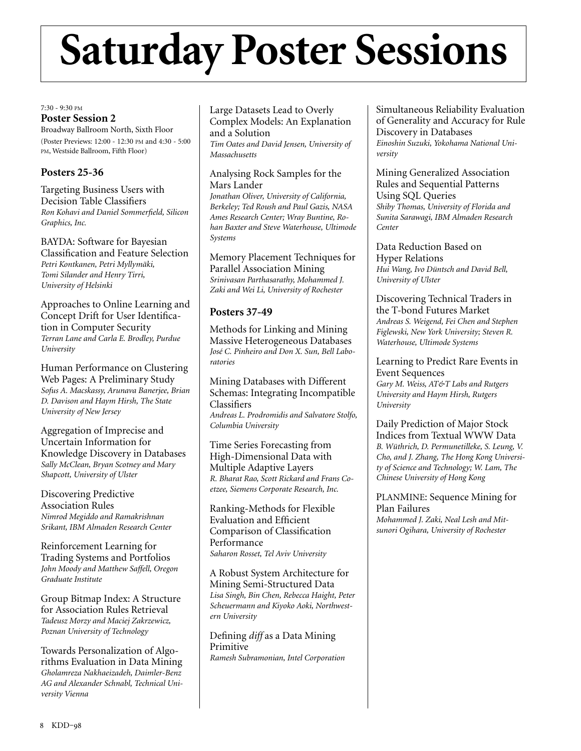## **Saturday Poster Sessions**

7:30 - 9:30 PM

#### **Poster Session 2**

Broadway Ballroom North, Sixth Floor (Poster Previews: 12:00 - 12:30 PM and 4:30 - 5:00 PM, Westside Ballroom, Fifth Floor)

### **Posters 25-36**

Targeting Business Users with Decision Table Classifiers *Ron Kohavi and Daniel Sommerfield, Silicon Graphics, Inc.*

BAYDA: Software for Bayesian Classification and Feature Selection *Petri Kontkanen, Petri Myllymäki, Tomi Silander and Henry Tirri, University of Helsinki*

Approaches to Online Learning and Concept Drift for User Identification in Computer Security *Terran Lane and Carla E. Brodley, Purdue University*

Human Performance on Clustering Web Pages: A Preliminary Study *Sofus A. Macskassy, Arunava Banerjee, Brian D. Davison and Haym Hirsh, The State University of New Jersey*

Aggregation of Imprecise and Uncertain Information for Knowledge Discovery in Databases *Sally McClean, Bryan Scotney and Mary Shapcott, University of Ulster*

Discovering Predictive Association Rules *Nimrod Megiddo and Ramakrishnan Srikant, IBM Almaden Research Center*

Reinforcement Learning for Trading Systems and Portfolios *John Moody and Matthew Saffell, Oregon Graduate Institute*

Group Bitmap Index: A Structure for Association Rules Retrieval *Tadeusz Morzy and Maciej Zakrzewicz, Poznan University of Technology*

Towards Personalization of Algorithms Evaluation in Data Mining *Gholamreza Nakhaeizadeh, Daimler-Benz AG and Alexander Schnabl, Technical University Vienna*

Large Datasets Lead to Overly Complex Models: An Explanation and a Solution *Tim Oates and David Jensen, University of Massachusetts*

#### Analysing Rock Samples for the Mars Lander

*Jonathan Oliver, University of California, Berkeley; Ted Roush and Paul Gazis, NASA Ames Research Center; Wray Buntine, Rohan Baxter and Steve Waterhouse, Ultimode Systems*

Memory Placement Techniques for Parallel Association Mining *Srinivasan Parthasarathy, Mohammed J. Zaki and Wei Li, University of Rochester*

### **Posters 37-49**

Methods for Linking and Mining Massive Heterogeneous Databases *José C. Pinheiro and Don X. Sun, Bell Laboratories*

Mining Databases with Different Schemas: Integrating Incompatible **Classifiers** *Andreas L. Prodromidis and Salvatore Stolfo, Columbia University*

Time Series Forecasting from High-Dimensional Data with Multiple Adaptive Layers *R. Bharat Rao, Scott Rickard and Frans Coetzee, Siemens Corporate Research, Inc.*

Ranking-Methods for Flexible Evaluation and Efficient Comparison of Classification Performance *Saharon Rosset, Tel Aviv University*

A Robust System Architecture for Mining Semi-Structured Data *Lisa Singh, Bin Chen, Rebecca Haight, Peter Scheuermann and Kiyoko Aoki, Northwestern University*

Defining *diff* as a Data Mining Primitive *Ramesh Subramonian, Intel Corporation* Simultaneous Reliability Evaluation of Generality and Accuracy for Rule Discovery in Databases *Einoshin Suzuki, Yokohama National University*

Mining Generalized Association Rules and Sequential Patterns Using SQL Queries *Shiby Thomas, University of Florida and Sunita Sarawagi, IBM Almaden Research Center*

Data Reduction Based on Hyper Relations *Hui Wang, Ivo Düntsch and David Bell, University of Ulster*

Discovering Technical Traders in the T-bond Futures Market *Andreas S. Weigend, Fei Chen and Stephen Figlewski, New York University; Steven R. Waterhouse, Ultimode Systems*

Learning to Predict Rare Events in Event Sequences *Gary M. Weiss, AT&T Labs and Rutgers University and Haym Hirsh, Rutgers University*

Daily Prediction of Major Stock Indices from Textual WWW Data *B. Wüthrich, D. Permunetilleke, S. Leung, V. Cho, and J. Zhang, The Hong Kong University of Science and Technology; W. Lam, The Chinese University of Hong Kong*

PLANMINE: Sequence Mining for Plan Failures *Mohammed J. Zaki, Neal Lesh and Mitsunori Ogihara, University of Rochester*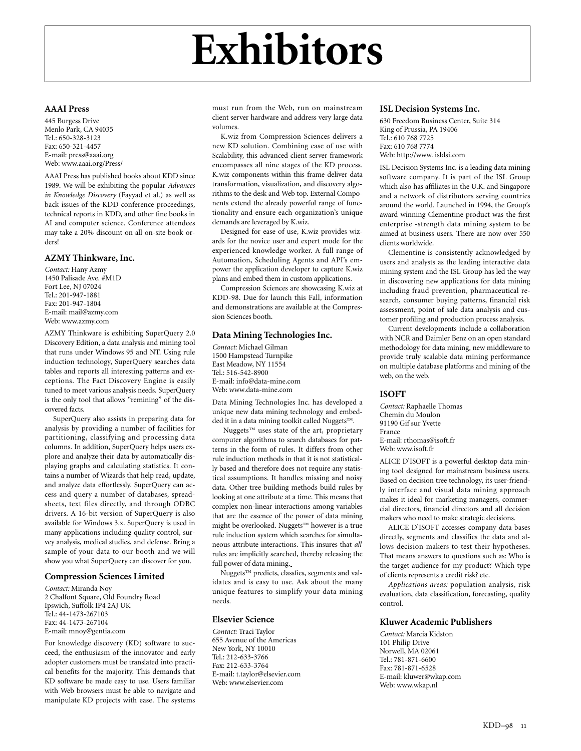#### **AAAI Press**

445 Burgess Drive Menlo Park, CA 94035 Tel.: 650-328-3123 Fax: 650-321-4457 E-mail: press@aaai.org Web: www.aaai.org/Press/

AAAI Press has published books about KDD since 1989. We will be exhibiting the popular *Advances in Knowledge Discovery* (Fayyad et al.) as well as back issues of the KDD conference proceedings, technical reports in KDD, and other fine books in AI and computer science. Conference attendees may take a 20% discount on all on-site book orders!

#### **AZMY Thinkware, Inc.**

*Contact:* Hany Azmy 1450 Palisade Ave. #M1D Fort Lee, NJ 07024 Tel.: 201-947-1881 Fax: 201-947-1804 E-mail: mail@azmy.com Web: www.azmy.com

AZMY Thinkware is exhibiting SuperQuery 2.0 Discovery Edition, a data analysis and mining tool that runs under Windows 95 and NT. Using rule induction technology, SuperQuery searches data tables and reports all interesting patterns and exceptions. The Fact Discovery Engine is easily tuned to meet various analysis needs. SuperQuery is the only tool that allows "remining" of the discovered facts.

SuperQuery also assists in preparing data for analysis by providing a number of facilities for partitioning, classifying and processing data columns. In addition, SuperQuery helps users explore and analyze their data by automatically displaying graphs and calculating statistics. It contains a number of Wizards that help read, update, and analyze data effortlessly. SuperQuery can access and query a number of databases, spreadsheets, text files directly, and through ODBC drivers. A 16-bit version of SuperQuery is also available for Windows 3.x. SuperQuery is used in many applications including quality control, survey analysis, medical studies, and defense. Bring a sample of your data to our booth and we will show you what SuperQuery can discover for you.

#### **Compression Sciences Limited**

*Contact:* Miranda Noy 2 Chalfont Square, Old Foundry Road Ipswich, Suffolk IP4 2AJ UK Tel.: 44-1473-267103 Fax: 44-1473-267104 E-mail: mnoy@gentia.com

For knowledge discovery (KD) software to succeed, the enthusiasm of the innovator and early adopter customers must be translated into practical benefits for the majority. This demands that KD software be made easy to use. Users familiar with Web browsers must be able to navigate and manipulate KD projects with ease. The systems

must run from the Web, run on mainstream client server hardware and address very large data volumes.

K.wiz from Compression Sciences delivers a new KD solution. Combining ease of use with Scalability, this advanced client server framework encompasses all nine stages of the KD process. K.wiz components within this frame deliver data transformation, visualization, and discovery algorithms to the desk and Web top. External Components extend the already powerful range of functionality and ensure each organization's unique demands are leveraged by K.wiz.

Designed for ease of use, K.wiz provides wizards for the novice user and expert mode for the experienced knowledge worker. A full range of Automation, Scheduling Agents and API's empower the application developer to capture K.wiz plans and embed them in custom applications.

Compression Sciences are showcasing K.wiz at KDD-98. Due for launch this Fall, information and demonstrations are available at the Compression Sciences booth.

#### **Data Mining Technologies Inc.**

*Contact:* Michael Gilman 1500 Hampstead Turnpike East Meadow, NY 11554 Tel.: 516-542-8900 E-mail: info@data-mine.com Web: www.data-mine.com

Data Mining Technologies Inc. has developed a unique new data mining technology and embedded it in a data mining toolkit called Nuggets™.

Nuggets™ uses state of the art, proprietary computer algorithms to search databases for patterns in the form of rules. It differs from other rule induction methods in that it is not statistically based and therefore does not require any statistical assumptions. It handles missing and noisy data. Other tree building methods build rules by looking at one attribute at a time. This means that complex non-linear interactions among variables that are the essence of the power of data mining might be overlooked. Nuggets™ however is a true rule induction system which searches for simultaneous attribute interactions. This insures that *all* rules are implicitly searched, thereby releasing the full power of data mining.

Nuggets<sup>™</sup> predicts, classfies, segments and validates and is easy to use. Ask about the many unique features to simplify your data mining needs.

#### **Elsevier Science**

*Contact:* Traci Taylor 655 Avenue of the Americas New York, NY 10010 Tel.: 212-633-3766 Fax: 212-633-3764 E-mail: t.taylor@elsevier.com Web: www.elsevier.com

#### **ISL Decision Systems Inc.**

630 Freedom Business Center, Suite 314 King of Prussia, PA 19406 Tel.: 610 768 7725 Fax: 610 768 7774 Web: http://www. isldsi.com

ISL Decision Systems Inc. is a leading data mining software company. It is part of the ISL Group which also has affiliates in the U.K. and Singapore and a network of distributors serving countries around the world. Launched in 1994, the Group's award winning Clementine product was the first enterprise -strength data mining system to be aimed at business users. There are now over 550 clients worldwide.

Clementine is consistently acknowledged by users and analysts as the leading interactive data mining system and the ISL Group has led the way in discovering new applications for data mining including fraud prevention, pharmaceutical research, consumer buying patterns, financial risk assessment, point of sale data analysis and customer profiling and production process analysis.

Current developments include a collaboration with NCR and Daimler Benz on an open standard methodology for data mining, new middleware to provide truly scalable data mining performance on multiple database platforms and mining of the web, on the web.

#### **ISOFT**

*Contact:* Raphaelle Thomas Chemin du Moulon 91190 Gif sur Yvette France E-mail: rthomas@isoft.fr Web: www.isoft.fr

ALICE D'ISOFT is a powerful desktop data mining tool designed for mainstream business users. Based on decision tree technology, its user-friendly interface and visual data mining approach makes it ideal for marketing managers, commercial directors, financial directors and all decision makers who need to make strategic decisions.

ALICE D'ISOFT accesses company data bases directly, segments and classifies the data and allows decision makers to test their hypotheses. That means answers to questions such as: Who is the target audience for my product? Which type of clients represents a credit risk? etc.

*Applications areas:* population analysis, risk evaluation, data classification, forecasting, quality control.

#### **Kluwer Academic Publishers**

*Contact:* Marcia Kidston 101 Philip Drive Norwell, MA 02061 Tel.: 781-871-6600 Fax: 781-871-6528 E-mail: kluwer@wkap.com Web: www.wkap.nl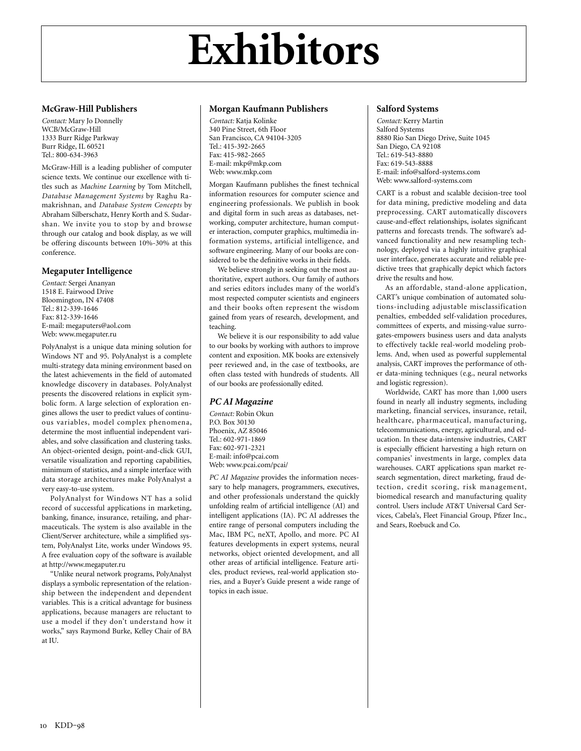#### **McGraw-Hill Publishers**

*Contact:* Mary Jo Donnelly WCB/McGraw-Hill 1333 Burr Ridge Parkway Burr Ridge, IL 60521 Tel.: 800-634-3963

McGraw-Hill is a leading publisher of computer science texts. We continue our excellence with titles such as *Machine Learning* by Tom Mitchell, *Database Management Systems* by Raghu Ramakrishnan, and *Database System Concepts* by Abraham Silberschatz, Henry Korth and S. Sudarshan. We invite you to stop by and browse through our catalog and book display, as we will be offering discounts between 10%-30% at this conference.

#### **Megaputer Intelligence**

*Contact:* Sergei Ananyan 1518 E. Fairwood Drive Bloomington, IN 47408 Tel.: 812-339-1646 Fax: 812-339-1646 E-mail: megaputers@aol.com Web: www.megaputer.ru

PolyAnalyst is a unique data mining solution for Windows NT and 95. PolyAnalyst is a complete multi-strategy data mining environment based on the latest achievements in the field of automated knowledge discovery in databases. PolyAnalyst presents the discovered relations in explicit symbolic form. A large selection of exploration engines allows the user to predict values of continuous variables, model complex phenomena, determine the most influential independent variables, and solve classification and clustering tasks. An object-oriented design, point-and-click GUI, versatile visualization and reporting capabilities, minimum of statistics, and a simple interface with data storage architectures make PolyAnalyst a very easy-to-use system.

PolyAnalyst for Windows NT has a solid record of successful applications in marketing, banking, finance, insurance, retailing, and pharmaceuticals. The system is also available in the Client/Server architecture, while a simplified system, PolyAnalyst Lite, works under Windows 95. A free evaluation copy of the software is available at http://www.megaputer.ru

"Unlike neural network programs, PolyAnalyst displays a symbolic representation of the relationship between the independent and dependent variables. This is a critical advantage for business applications, because managers are reluctant to use a model if they don't understand how it works," says Raymond Burke, Kelley Chair of BA at IU.

#### **Morgan Kaufmann Publishers**

*Contact:* Katja Kolinke 340 Pine Street, 6th Floor San Francisco, CA 94104-3205 Tel.: 415-392-2665 Fax: 415-982-2665 E-mail: mkp@mkp.com Web: www.mkp.com

Morgan Kaufmann publishes the finest technical information resources for computer science and engineering professionals. We publish in book and digital form in such areas as databases, networking, computer architecture, human computer interaction, computer graphics, multimedia information systems, artificial intelligence, and software engineering. Many of our books are considered to be the definitive works in their fields.

We believe strongly in seeking out the most authoritative, expert authors. Our family of authors and series editors includes many of the world's most respected computer scientists and engineers and their books often represent the wisdom gained from years of research, development, and teaching.

We believe it is our responsibility to add value to our books by working with authors to improve content and exposition. MK books are extensively peer reviewed and, in the case of textbooks, are often class tested with hundreds of students. All of our books are professionally edited.

#### *PC AI Magazine*

*Contact:* Robin Okun P.O. Box 30130 Phoenix, AZ 85046  $Tel \cdot 602 - 971 - 1869$ Fax: 602-971-2321 E-mail: info@pcai.com Web: www.pcai.com/pcai/

*PC AI Magazine* provides the information necessary to help managers, programmers, executives, and other professionals understand the quickly unfolding realm of artificial intelligence (AI) and intelligent applications (IA). PC AI addresses the entire range of personal computers including the Mac, IBM PC, neXT, Apollo, and more. PC AI features developments in expert systems, neural networks, object oriented development, and all other areas of artificial intelligence. Feature articles, product reviews, real-world application stories, and a Buyer's Guide present a wide range of topics in each issue.

#### **Salford Systems**

*Contact:* Kerry Martin Salford Systems 8880 Rio San Diego Drive, Suite 1045 San Diego, CA 92108 Tel.: 619-543-8880 Fax: 619-543-8888 E-mail: info@salford-systems.com Web: www.salford-systems.com

CART is a robust and scalable decision-tree tool for data mining, predictive modeling and data preprocessing. CART automatically discovers cause-and-effect relationships, isolates significant patterns and forecasts trends. The software's advanced functionality and new resampling technology, deployed via a highly intuitive graphical user interface, generates accurate and reliable predictive trees that graphically depict which factors drive the results and how.

As an affordable, stand-alone application, CART's unique combination of automated solutions-including adjustable misclassification penalties, embedded self-validation procedures, committees of experts, and missing-value surrogates-empowers business users and data analysts to effectively tackle real-world modeling problems. And, when used as powerful supplemental analysis, CART improves the performance of other data-mining techniques (e.g., neural networks and logistic regression).

Worldwide, CART has more than 1,000 users found in nearly all industry segments, including marketing, financial services, insurance, retail, healthcare, pharmaceutical, manufacturing, telecommunications, energy, agricultural, and education. In these data-intensive industries, CART is especially efficient harvesting a high return on companies' investments in large, complex data warehouses. CART applications span market research segmentation, direct marketing, fraud detection, credit scoring, risk management, biomedical research and manufacturing quality control. Users include AT&T Universal Card Services, Cabela's, Fleet Financial Group, Pfizer Inc., and Sears, Roebuck and Co.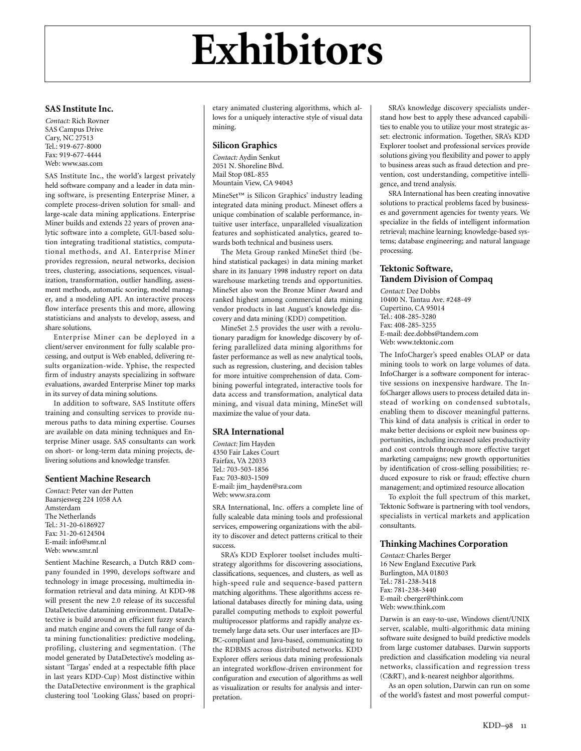#### **SAS Institute Inc.**

*Contact:* Rich Rovner SAS Campus Drive Cary, NC 27513 Tel.: 919-677-8000 Fax: 919-677-4444 Web: www.sas.com

SAS Institute Inc., the world's largest privately held software company and a leader in data mining software, is presenting Enterprise Miner, a complete process-driven solution for small- and large-scale data mining applications. Enterprise Miner builds and extends 22 years of proven analytic software into a complete, GUI-based solution integrating traditional statistics, computational methods, and AI. Enterprise Miner provides regression, neural networks, decision trees, clustering, associations, sequences, visualization, transformation, outlier handling, assessment methods, automatic scoring, model manager, and a modeling API. An interactive process flow interface presents this and more, allowing statisticians and analysts to develop, assess, and share solutions.

Enterprise Miner can be deployed in a client/server environment for fully scalable processing, and output is Web enabled, delivering results organization-wide. Yphise, the respected firm of industry anaysts specializing in software evaluations, awarded Enterprise Miner top marks in its survey of data mining solutions.

In addition to software, SAS Institute offers training and consulting services to provide numerous paths to data mining expertise. Courses are available on data mining techniques and Enterprise Miner usage. SAS consultants can work on short- or long-term data mining projects, delivering solutions and knowledge transfer.

#### **Sentient Machine Research**

*Contact:* Peter van der Putten Baarsjesweg 224 1058 AA Amsterdam The Netherlands Tel: 31-20-6186927 Fax: 31-20-6124504 E-mail: info@smr.nl Web: www.smr.nl

Sentient Machine Research, a Dutch R&D company founded in 1990, develops software and technology in image processing, multimedia information retrieval and data mining. At KDD-98 will present the new 2.0 release of its successful DataDetective datamining environment. DataDetective is build around an efficient fuzzy search and match engine and covers the full range of data mining functionalities: predictive modeling, profiling, clustering and segmentation. (The model generated by DataDetective's modeling assistant 'Targas' ended at a respectable fifth place in last years KDD-Cup) Most distinctive within the DataDetective environment is the graphical clustering tool 'Looking Glass,' based on propri-

etary animated clustering algorithms, which allows for a uniquely interactive style of visual data mining.

#### **Silicon Graphics**

*Contact:* Aydin Senkut 2051 N. Shoreline Blvd. Mail Stop 08L-855 Mountain View, CA 94043

MineSet™ is Silicon Graphics' industry leading integrated data mining product. Mineset offers a unique combination of scalable performance, intuitive user interface, unparalleled visualization features and sophisticated analytics, geared towards both technical and business users.

The Meta Group ranked MineSet third (behind statistical packages) in data mining market share in its January 1998 industry report on data warehouse marketing trends and opportunities. MineSet also won the Bronze Miner Award and ranked highest among commercial data mining vendor products in last August's knowledge discovery and data mining (KDD) competition.

MineSet 2.5 provides the user with a revolutionary paradigm for knowledge discovery by offering parallelized data mining algorithms for faster performance as well as new analytical tools, such as regression, clustering, and decision tables for more intuitive comprehension of data. Combining powerful integrated, interactive tools for data access and transformation, analytical data mining, and visual data mining, MineSet will maximize the value of your data.

#### **SRA International**

*Contact:* Jim Hayden 4350 Fair Lakes Court Fairfax, VA 22033 Tel.: 703-503-1856 Fax: 703-803-1509 E-mail: jim\_hayden@sra.com Web: www.sra.com

SRA International, Inc. offers a complete line of fully scaleable data mining tools and professional services, empowering organizations with the ability to discover and detect patterns critical to their success.

SRA's KDD Explorer toolset includes multistrategy algorithms for discovering associations, classifications, sequences, and clusters, as well as high-speed rule and sequence-based pattern matching algorithms. These algorithms access relational databases directly for mining data, using parallel computing methods to exploit powerful multiprocessor platforms and rapidly analyze extremely large data sets. Our user interfaces are JD-BC-compliant and Java-based, communicating to the RDBMS across distributed networks. KDD Explorer offers serious data mining professionals an integrated workflow-driven environment for configuration and execution of algorithms as well as visualization or results for analysis and interpretation.

SRA's knowledge discovery specialists understand how best to apply these advanced capabilities to enable you to utilize your most strategic asset: electronic information. Together, SRA's KDD Explorer toolset and professional services provide solutions giving you flexibility and power to apply to business areas such as fraud detection and prevention, cost understanding, competitive intelligence, and trend analysis.

SRA International has been creating innovative solutions to practical problems faced by businesses and government agencies for twenty years. We specialize in the fields of intelligent information retrieval; machine learning; knowledge-based systems; database engineering; and natural language processing.

#### **Tektonic Software, Tandem Division of Compaq**

*Contact:* Dee Dobbs 10400 N. Tantau Ave. #248-49 Cupertino, CA 95014 Tel.: 408-285-3280 Fax: 408-285-3255 E-mail: dee.dobbs@tandem.com Web: www.tektonic.com

The InfoCharger's speed enables OLAP or data mining tools to work on large volumes of data. InfoCharger is a software component for interactive sessions on inexpensive hardware. The InfoCharger allows users to process detailed data instead of working on condensed subtotals, enabling them to discover meaningful patterns. This kind of data analysis is critical in order to make better decisions or exploit new business opportunities, including increased sales productivity and cost controls through more effective target marketing campaigns; new growth opportunities by identification of cross-selling possibilities; reduced exposure to risk or fraud; effective churn management; and optimized resource allocation

To exploit the full spectrum of this market, Tektonic Software is partnering with tool vendors, specialists in vertical markets and application consultants.

#### **Thinking Machines Corporation**

*Contact:* Charles Berger 16 New England Executive Park Burlington, MA 01803 Tel.: 781-238-3418 Fax: 781-238-3440 E-mail: cberger@think.com Web: www.think.com

Darwin is an easy-to-use, Windows client/UNIX server, scalable, multi-algorithmic data mining software suite designed to build predictive models from large customer databases. Darwin supports prediction and classification modeling via neural networks, classification and regression tress (C&RT), and k-nearest neighbor algorithms.

As an open solution, Darwin can run on some of the world's fastest and most powerful comput-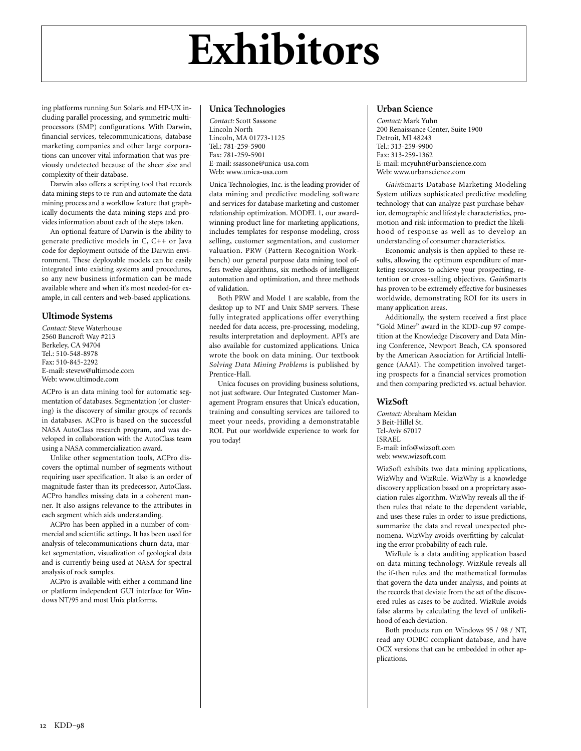ing platforms running Sun Solaris and HP-UX including parallel processing, and symmetric multiprocessors (SMP) configurations. With Darwin, financial services, telecommunications, database marketing companies and other large corporations can uncover vital information that was previously undetected because of the sheer size and complexity of their database.

Darwin also offers a scripting tool that records data mining steps to re-run and automate the data mining process and a workflow feature that graphically documents the data mining steps and provides information about each of the steps taken.

An optional feature of Darwin is the ability to generate predictive models in C, C++ or Java code for deployment outside of the Darwin environment. These deployable models can be easily integrated into existing systems and procedures, so any new business information can be made available where and when it's most needed-for example, in call centers and web-based applications.

#### **Ultimode Systems**

*Contact:* Steve Waterhouse 2560 Bancroft Way #213 Berkeley, CA 94704 Tel.: 510-548-8978 Fax: 510-845-2292 E-mail: stevew@ultimode.com Web: www.ultimode.com

ACPro is an data mining tool for automatic segmentation of databases. Segmentation (or clustering) is the discovery of similar groups of records in databases. ACPro is based on the successful NASA AutoClass research program, and was developed in collaboration with the AutoClass team using a NASA commercialization award.

Unlike other segmentation tools, ACPro discovers the optimal number of segments without requiring user specification. It also is an order of magnitude faster than its predecessor, AutoClass. ACPro handles missing data in a coherent manner. It also assigns relevance to the attributes in each segment which aids understanding.

ACPro has been applied in a number of commercial and scientific settings. It has been used for analysis of telecommunications churn data, market segmentation, visualization of geological data and is currently being used at NASA for spectral analysis of rock samples.

ACPro is available with either a command line or platform independent GUI interface for Windows NT/95 and most Unix platforms.

#### **Unica Technologies**

*Contact:* Scott Sassone Lincoln North Lincoln, MA 01773-1125  $Tel \cdot 781 - 259 - 5900$ Fax: 781-259-5901 E-mail: ssassone@unica-usa.com Web: www.unica-usa.com

Unica Technologies, Inc. is the leading provider of data mining and predictive modeling software and services for database marketing and customer relationship optimization. MODEL 1, our awardwinning product line for marketing applications, includes templates for response modeling, cross selling, customer segmentation, and customer valuation. PRW (Pattern Recognition Workbench) our general purpose data mining tool offers twelve algorithms, six methods of intelligent automation and optimization, and three methods of validation.

Both PRW and Model 1 are scalable, from the desktop up to NT and Unix SMP servers. These fully integrated applications offer everything needed for data access, pre-processing, modeling, results interpretation and deployment. API's are also available for customized applications. Unica wrote the book on data mining. Our textbook *Solving Data Mining Problems* is published by Prentice-Hall.

Unica focuses on providing business solutions, not just software. Our Integrated Customer Management Program ensures that Unica's education, training and consulting services are tailored to meet your needs, providing a demonstratable ROI. Put our worldwide experience to work for you today!

#### **Urban Science**

*Contact:* Mark Yuhn 200 Renaissance Center, Suite 1900 Detroit, MI 48243  $Tel \cdot 313 - 259 - 9900$ Fax: 313-259-1362 E-mail: mcyuhn@urbanscience.com Web: www.urbanscience.com

*Gain*Smarts Database Marketing Modeling System utilizes sophisticated predictive modeling technology that can analyze past purchase behavior, demographic and lifestyle characteristics, promotion and risk information to predict the likelihood of response as well as to develop an understanding of consumer characteristics.

Economic analysis is then applied to these results, allowing the optimum expenditure of marketing resources to achieve your prospecting, retention or cross-selling objectives. *Gain*Smarts has proven to be extremely effective for businesses worldwide, demonstrating ROI for its users in many application areas.

Additionally, the system received a first place "Gold Miner" award in the KDD-cup 97 competition at the Knowledge Discovery and Data Mining Conference, Newport Beach, CA sponsored by the American Association for Artificial Intelligence (AAAI). The competition involved targeting prospects for a financial services promotion and then comparing predicted vs. actual behavior.

#### **WizSoft**

*Contact:* Abraham Meidan 3 Beit-Hillel St. Tel-Aviv 67017 ISRAEL E-mail: info@wizsoft.com web: www.wizsoft.com

WizSoft exhibits two data mining applications, WizWhy and WizRule. WizWhy is a knowledge discovery application based on a proprietary association rules algorithm. WizWhy reveals all the ifthen rules that relate to the dependent variable, and uses these rules in order to issue predictions, summarize the data and reveal unexpected phenomena. WizWhy avoids overfitting by calculating the error probability of each rule.

WizRule is a data auditing application based on data mining technology. WizRule reveals all the if-then rules and the mathematical formulas that govern the data under analysis, and points at the records that deviate from the set of the discovered rules as cases to be audited. WizRule avoids false alarms by calculating the level of unlikelihood of each deviation.

Both products run on Windows 95 / 98 / NT, read any ODBC compliant database, and have OCX versions that can be embedded in other applications.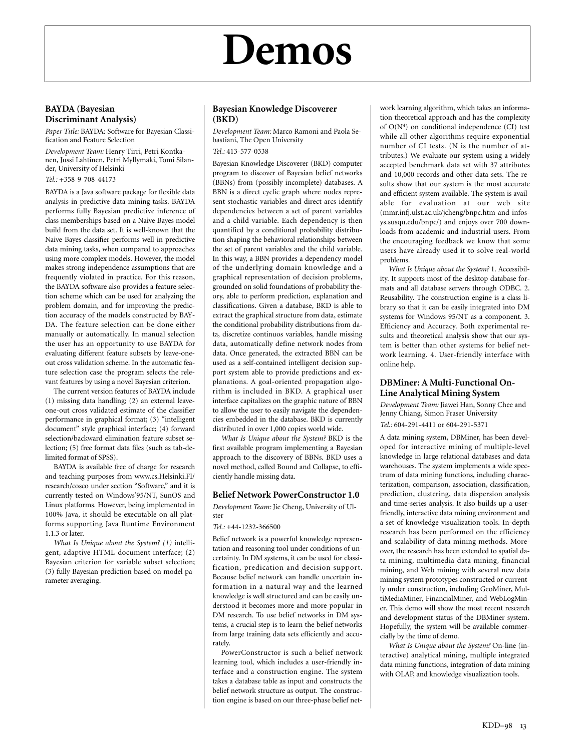## **Demos**

#### **BAYDA (Bayesian Discriminant Analysis)**

*Paper Title:* BAYDA: Software for Bayesian Classification and Feature Selection

*Development Team:* Henry Tirri, Petri Kontkanen, Jussi Lahtinen, Petri Myllymäki, Tomi Silander, University of Helsinki

*Tel.:* +358-9-708-44173

BAYDA is a Java software package for flexible data analysis in predictive data mining tasks. BAYDA performs fully Bayesian predictive inference of class memberships based on a Naive Bayes model build from the data set. It is well-known that the Naive Bayes classifier performs well in predictive data mining tasks, when compared to approaches using more complex models. However, the model makes strong independence assumptions that are frequently violated in practice. For this reason, the BAYDA software also provides a feature selection scheme which can be used for analyzing the problem domain, and for improving the prediction accuracy of the models constructed by BAY-DA. The feature selection can be done either manually or automatically. In manual selection the user has an opportunity to use BAYDA for evaluating different feature subsets by leave-oneout cross validation scheme. In the automatic feature selection case the program selects the relevant features by using a novel Bayesian criterion.

The current version features of BAYDA include (1) missing data handling; (2) an external leaveone-out cross validated estimate of the classifier performance in graphical format; (3) "intelligent document" style graphical interface; (4) forward selection/backward elimination feature subset selection; (5) free format data files (such as tab-delimited format of SPSS).

BAYDA is available free of charge for research and teaching purposes from www.cs.Helsinki.FI/ research/cosco under section "Software," and it is currently tested on Windows'95/NT, SunOS and Linux platforms. However, being implemented in 100% Java, it should be executable on all platforms supporting Java Runtime Environment 1.1.3 or later.

*What Is Unique about the System? (1)* intelligent, adaptive HTML-document interface; (2) Bayesian criterion for variable subset selection; (3) fully Bayesian prediction based on model parameter averaging.

#### **Bayesian Knowledge Discoverer (BKD)**

*Development Team:* Marco Ramoni and Paola Sebastiani, The Open University *Tel.:* 413-577-0338

Bayesian Knowledge Discoverer (BKD) computer program to discover of Bayesian belief networks (BBNs) from (possibly incomplete) databases. A BBN is a direct cyclic graph where nodes represent stochastic variables and direct arcs identify dependencies between a set of parent variables and a child variable. Each dependency is then quantified by a conditional probability distribution shaping the behavioral relationships between the set of parent variables and the child variable. In this way, a BBN provides a dependency model of the underlying domain knowledge and a graphical representation of decision problems, grounded on solid foundations of probability theory, able to perform prediction, explanation and classifications. Given a database, BKD is able to extract the graphical structure from data, estimate the conditional probability distributions from data, discretize continuos variables, handle missing data, automatically define network nodes from data. Once generated, the extracted BBN can be used as a self-contained intelligent decision support system able to provide predictions and explanations. A goal-oriented propagation algorithm is included in BKD. A graphical user interface capitalizes on the graphic nature of BBN to allow the user to easily navigate the dependencies embedded in the database. BKD is currently distributed in over 1,000 copies world wide.

*What Is Unique about the System?* BKD is the first available program implementing a Bayesian approach to the discovery of BBNs. BKD uses a novel method, called Bound and Collapse, to efficiently handle missing data.

#### **Belief Network PowerConstructor 1.0**

*Development Team:* Jie Cheng, University of Ulster

#### *Tel.:* +44-1232-366500

Belief network is a powerful knowledge representation and reasoning tool under conditions of uncertainty. In DM systems, it can be used for classification, predication and decision support. Because belief network can handle uncertain information in a natural way and the learned knowledge is well structured and can be easily understood it becomes more and more popular in DM research. To use belief networks in DM systems, a crucial step is to learn the belief networks from large training data sets efficiently and accurately.

PowerConstructor is such a belief network learning tool, which includes a user-friendly interface and a construction engine. The system takes a database table as input and constructs the belief network structure as output. The construction engine is based on our three-phase belief net-

work learning algorithm, which takes an information theoretical approach and has the complexity of  $O(N<sup>4</sup>)$  on conditional independence (CI) test while all other algorithms require exponential number of CI tests. (N is the number of attributes.) We evaluate our system using a widely accepted benchmark data set with 37 attributes and 10,000 records and other data sets. The results show that our system is the most accurate and efficient system available. The system is available for evaluation at our web site (mmr.infj.ulst.ac.uk/jcheng/bnpc.htm and infosys.susqu.edu/bnpc/) and enjoys over 700 downloads from academic and industrial users. From the encouraging feedback we know that some users have already used it to solve real-world problems.

*What Is Unique about the System?* 1. Accessibility. It supports most of the desktop database formats and all database servers through ODBC. 2. Reusability. The construction engine is a class library so that it can be easily integrated into DM systems for Windows 95/NT as a component. 3. Efficiency and Accuracy. Both experimental results and theoretical analysis show that our system is better than other systems for belief network learning. 4. User-friendly interface with online help.

#### **DBMiner: A Multi-Functional On-Line Analytical Mining System**

*Development Team:* Jiawei Han, Sonny Chee and Jenny Chiang, Simon Fraser University

*Tel.:* 604-291-4411 or 604-291-5371

A data mining system, DBMiner, has been developed for interactive mining of multiple-level knowledge in large relational databases and data warehouses. The system implements a wide spectrum of data mining functions, including characterization, comparison, association, classification, prediction, clustering, data dispersion analysis and time-series analysis. It also builds up a userfriendly, interactive data mining environment and a set of knowledge visualization tools. In-depth research has been performed on the efficiency and scalability of data mining methods. Moreover, the research has been extended to spatial data mining, multimedia data mining, financial mining, and Web mining with several new data mining system prototypes constructed or currently under construction, including GeoMiner, MultiMediaMiner, FinancialMiner, and WebLogMiner. This demo will show the most recent research and development status of the DBMiner system. Hopefully, the system will be available commercially by the time of demo.

*What Is Unique about the System?* On-line (interactive) analytical mining, multiple integrated data mining functions, integration of data mining with OLAP, and knowledge visualization tools.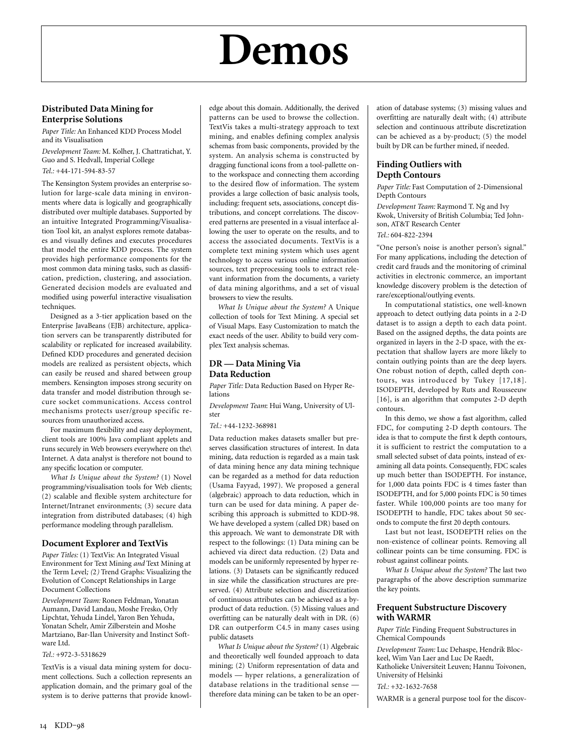## **Demos**

#### **Distributed Data Mining for Enterprise Solutions**

*Paper Title:* An Enhanced KDD Process Model and its Visualisation

*Development Team:* M. Kolher, J. Chattratichat, Y. Guo and S. Hedvall, Imperial College *Tel.:* +44-171-594-83-57

The Kensington System provides an enterprise solution for large-scale data mining in environments where data is logically and geographically distributed over multiple databases. Supported by an intuitive Integrated Programming/Visualisation Tool kit, an analyst explores remote databases and visually defines and executes procedures that model the entire KDD process. The system provides high performance components for the most common data mining tasks, such as classification, prediction, clustering, and association. Generated decision models are evaluated and modified using powerful interactive visualisation techniques.

Designed as a 3-tier application based on the Enterprise JavaBeans (EJB) architecture, application servers can be transparently distributed for scalability or replicated for increased availability. Defined KDD procedures and generated decision models are realized as persistent objects, which can easily be reused and shared between group members. Kensington imposes strong security on data transfer and model distribution through secure socket communications. Access control mechanisms protects user/group specific resources from unauthorized access.

For maximum flexibility and easy deployment, client tools are 100% Java compliant applets and runs securely in Web browsers everywhere on the\ Internet. A data analyst is therefore not bound to any specific location or computer.

*What Is Unique about the System?* (1) Novel programming/visualisation tools for Web clients; (2) scalable and flexible system architecture for Internet/Intranet environments; (3) secure data integration from distributed databases; (4) high performance modeling through parallelism.

#### **Document Explorer and TextVis**

*Paper Titles:* (1) TextVis: An Integrated Visual Environment for Text Mining *and* Text Mining at the Term Level*; (*2*)* Trend Graphs: Visualizing the Evolution of Concept Relationships in Large Document Collections

*Development Team:* Ronen Feldman, Yonatan Aumann, David Landau, Moshe Fresko, Orly Lipchtat, Yehuda Lindel, Yaron Ben Yehuda, Yonatan Schelr, Amir Zilberstein and Moshe Martziano, Bar-Ilan University and Instinct Software Ltd.

#### *Tel.:* +972-3-5318629

TextVis is a visual data mining system for document collections. Such a collection represents an application domain, and the primary goal of the system is to derive patterns that provide knowledge about this domain. Additionally, the derived patterns can be used to browse the collection. TextVis takes a multi-strategy approach to text mining, and enables defining complex analysis schemas from basic components, provided by the system. An analysis schema is constructed by dragging functional icons from a tool-pallette onto the workspace and connecting them according to the desired flow of information. The system provides a large collection of basic analysis tools, including: frequent sets, associations, concept distributions, and concept correlations. The discovered patterns are presented in a visual interface allowing the user to operate on the results, and to access the associated documents. TextVis is a complete text mining system which uses agent technology to access various online information sources, text preprocessing tools to extract relevant information from the documents, a variety of data mining algorithms, and a set of visual browsers to view the results.

*What Is Unique about the System?* A Unique collection of tools for Text Mining. A special set of Visual Maps. Easy Customization to match the exact needs of the user. Ability to build very complex Text analysis schemas.

#### **DR — Data Mining Via Data Reduction**

*Paper Title:* Data Reduction Based on Hyper Relations

*Development Team*: Hui Wang, University of Ulster

#### *Tel.:* +44-1232-368981

Data reduction makes datasets smaller but preserves classification structures of interest. In data mining, data reduction is regarded as a main task of data mining hence any data mining technique can be regarded as a method for data reduction (Usama Fayyad, 1997). We proposed a general (algebraic) approach to data reduction, which in turn can be used for data mining. A paper describing this approach is submitted to KDD-98. We have developed a system (called DR) based on this approach. We want to demonstrate DR with respect to the followings: (1) Data mining can be achieved via direct data reduction. (2) Data and models can be uniformly represented by hyper relations. (3) Datasets can be significantly reduced in size while the classification structures are preserved. (4) Attribute selection and discretization of continuous attributes can be achieved as a byproduct of data reduction. (5) Missing values and overfitting can be naturally dealt with in DR. (6) DR can outperform C4.5 in many cases using public datasets

*What Is Unique about the System?* (1) Algebraic and theoretically well founded approach to data mining; (2) Uniform representation of data and models — hyper relations, a generalization of database relations in the traditional sense therefore data mining can be taken to be an oper-

ation of database systems; (3) missing values and overfitting are naturally dealt with; (4) attribute selection and continuous attribute discretization can be achieved as a by-product; (5) the model built by DR can be further mined, if needed.

#### **Finding Outliers with Depth Contours**

*Paper Title:* Fast Computation of 2-Dimensional Depth Contours

*Development Team:* Raymond T. Ng and Ivy Kwok, University of British Columbia; Ted Johnson, AT&T Research Center

*Tel.:* 604-822-2394

"One person's noise is another person's signal." For many applications, including the detection of credit card frauds and the monitoring of criminal activities in electronic commerce, an important knowledge discovery problem is the detection of rare/exceptional/outlying events.

In computational statistics, one well-known approach to detect outlying data points in a 2-D dataset is to assign a depth to each data point. Based on the assigned depths, the data points are organized in layers in the 2-D space, with the expectation that shallow layers are more likely to contain outlying points than are the deep layers. One robust notion of depth, called depth contours, was introduced by Tukey [17,18]. ISODEPTH, developed by Ruts and Rousseeuw [16], is an algorithm that computes 2-D depth contours.

In this demo, we show a fast algorithm, called FDC, for computing 2-D depth contours. The idea is that to compute the first k depth contours, it is sufficient to restrict the computation to a small selected subset of data points, instead of examining all data points. Consequently, FDC scales up much better than ISODEPTH. For instance, for 1,000 data points FDC is 4 times faster than ISODEPTH, and for 5,000 points FDC is 50 times faster. While 100,000 points are too many for ISODEPTH to handle, FDC takes about 50 seconds to compute the first 20 depth contours.

Last but not least, ISODEPTH relies on the non-existence of collinear points. Removing all collinear points can be time consuming. FDC is robust against collinear points.

*What Is Unique about the System?* The last two paragraphs of the above description summarize the key points.

#### **Frequent Substructure Discovery with WARMR**

*Paper Title*: Finding Frequent Substructures in Chemical Compounds

*Development Team:* Luc Dehaspe, Hendrik Blockeel, Wim Van Laer and Luc De Raedt, Katholieke Universiteit Leuven; Hannu Toivonen, University of Helsinki

*Tel.:* +32-1632-7658

WARMR is a general purpose tool for the discov-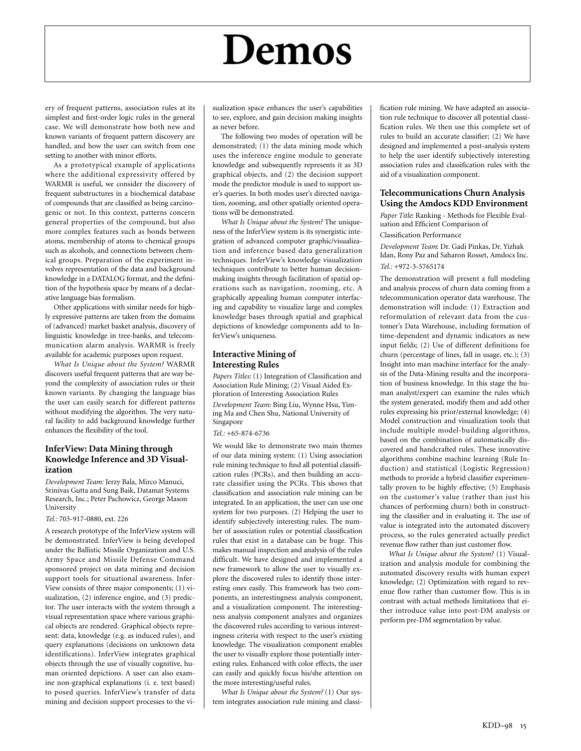## **Demos**

ery of frequent patterns, association rules at its simplest and first-order logic rules in the general case. We will demonstrate how both new and known variants of frequent pattern discovery are handled, and how the user can switch from one setting to another with minor efforts.

As a prototypical example of applications where the additional expressivity offered by WARMR is useful, we consider the discovery of frequent substructures in a biochemical database of compounds that are classified as being carcinogenic or not. In this context, patterns concern general properties of the compound, but also more complex features such as bonds between atoms, membership of atoms to chemical groups such as alcohols, and connections between chemical groups. Preparation of the experiment involves representation of the data and background knowledge in a DATALOG format, and the definition of the hypothesis space by means of a declarative language bias formalism.

Other applications with similar needs for highly expressive patterns are taken from the domains of (advanced) market basket analysis, discovery of linguistic knowledge in tree-banks, and telecommunication alarm analysis. WARMR is freely available for academic purposes upon request.

*What Is Unique about the System?* WARMR discovers useful frequent patterns that are way beyond the complexity of association rules or their known variants. By changing the language bias the user can easily search for different patterns without modifying the algorithm. The very natural facility to add background knowledge further enhances the flexibility of the tool.

#### **InferView: Data Mining through Knowledge Inference and 3D Visualization**

*Development Team:* Jerzy Bala, Mirco Manuci, Srinivas Gutta and Sung Baik, Datamat Systems Research, Inc.; Peter Pachowicz, George Mason University

#### *Tel.:* 703-917-0880, ext. 226

A research prototype of the InferView system will be demonstrated. InferView is being developed under the Ballistic Missile Organization and U.S. Army Space and Missile Defense Command sponsored project on data mining and decision support tools for situational awareness. Infer-View consists of three major components; (1) visualization, (2) inference engine, and (3) predictor. The user interacts with the system through a visual representation space where various graphical objects are rendered. Graphical objects represent: data, knowledge (e.g. as induced rules), and query explanations (decisions on unknown data identifications). InferView integrates graphical objects through the use of visually cognitive, human oriented depictions. A user can also examine non-graphical explanations (i. e. text based) to posed queries. InferView's transfer of data mining and decision support processes to the visualization space enhances the user's capabilities to see, explore, and gain decision making insights as never before.

The following two modes of operation will be demonstrated; (1) the data mining mode which uses the inference engine module to generate knowledge and subsequently represents it as 3D graphical objects, and (2) the decision support mode the predictor module is used to support user's queries. In both modes user's directed navigation, zooming, and other spatially oriented operations will be demonstrated.

*What Is Unique about the System?* The uniqueness of the InferView system is its synergistic integration of advanced computer graphic/visualization and inference based data generalization techniques. InferView's knowledge visualization techniques contribute to better human decisionmaking insights through facilitation of spatial operations such as navigation, zooming, etc. A graphically appealing human computer interfacing and capability to visualize large and complex knowledge bases through spatial and graphical depictions of knowledge components add to InferView's uniqueness.

#### **Interactive Mining of Interesting Rules**

*Papers Titles:* (1) Integration of Classification and Association Rule Mining; (2) Visual Aided Exploration of Interesting Association Rules

*Development Team:* Bing Liu, Wynne Hsu, Yiming Ma and Chen Shu, National University of Singapore

#### *Tel.:* +65-874-6736

We would like to demonstrate two main themes of our data mining system: (1) Using association rule mining technique to find all potential classification rules (PCRs), and then building an accurate classifier using the PCRs. This shows that classification and association rule mining can be integrated. In an application, the user can use one system for two purposes. (2) Helping the user to identify subjectively interesting rules. The number of association rules or potential classification rules that exist in a database can be huge. This makes manual inspection and analysis of the rules difficult. We have designed and implemented a new framework to allow the user to visually explore the discovered rules to identify those interesting ones easily. This framework has two components, an interestingness analysis component, and a visualization component. The interestingness analysis component analyzes and organizes the discovered rules according to various interestingness criteria with respect to the user's existing knowledge. The visualization component enables the user to visually explore those potentially interesting rules. Enhanced with color effects, the user can easily and quickly focus his/she attention on the more interesting/useful rules.

*What Is Unique about the System?* (1) Our system integrates association rule mining and classification rule mining. We have adapted an association rule technique to discover all potential classification rules. We then use this complete set of rules to build an accurate classifier; (2) We have designed and implemented a post-analysis system to help the user identify subjectively interesting association rules and classification rules with the aid of a visualization component.

#### **Telecommunications Churn Analysis Using the Amdocs KDD Environment**

*Paper Title*: Ranking - Methods for Flexible Evaluation and Efficient Comparison of

#### Classification Performance

*Development Team*: Dr. Gadi Pinkas, Dr. Yizhak Idan, Rony Paz and Saharon Rosset, Amdocs Inc. *Tel.:* +972-3-5765174

The demonstration will present a full modeling and analysis process of churn data coming from a telecommunication operator data warehouse. The demonstration will include: (1) Extraction and reformulation of relevant data from the customer's Data Warehouse, including formation of time-dependent and dynamic indicators as new input fields; (2) Use of different definitions for churn (percentage of lines, fall in usage, etc.); (3) Insight into man machine interface for the analysis of the Data-Mining results and the incorporation of business knowledge. In this stage the human analyst/expert can examine the rules which the system generated, modify them and add other rules expressing his prior/external knowledge; (4) Model construction and visualization tools that include multiple model-building algorithms, based on the combination of automatically discovered and handcrafted rules. These innovative algorithms combine machine learning (Rule Induction) and statistical (Logistic Regression) methods to provide a hybrid classifier experimentally proven to be highly effective; (5) Emphasis on the customer's value (rather than just his chances of performing churn) both in constructing the classifier and in evaluating it. The use of value is integrated into the automated discovery process, so the rules generated actually predict revenue flow rather than just customer flow.

*What Is Unique about the System?* (1) Visualization and analysis module for combining the automated discovery results with human expert knowledge; (2) Optimization with regard to revenue flow rather than customer flow. This is in contrast with actual methods limitations that either introduce value into post-DM analysis or perform pre-DM segmentation by value.